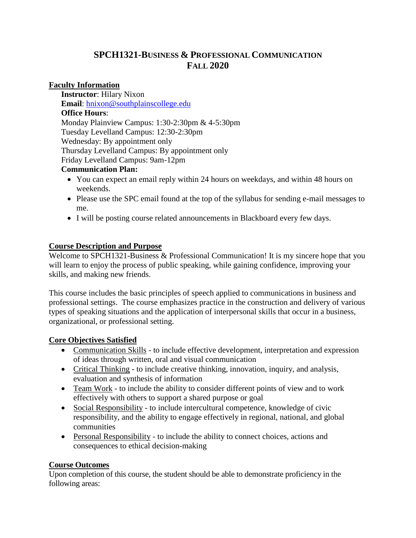# **SPCH1321-BUSINESS & PROFESSIONAL COMMUNICATION FALL 2020**

### **Faculty Information**

**Instructor**: Hilary Nixon **Email**: [hnixon@southplainscollege.edu](mailto:hnixon@southplainscollege.edu) **Office Hours**: Monday Plainview Campus: 1:30-2:30pm & 4-5:30pm Tuesday Levelland Campus: 12:30-2:30pm Wednesday: By appointment only Thursday Levelland Campus: By appointment only Friday Levelland Campus: 9am-12pm

#### **Communication Plan:**

- You can expect an email reply within 24 hours on weekdays, and within 48 hours on weekends.
- Please use the SPC email found at the top of the syllabus for sending e-mail messages to me.
- I will be posting course related announcements in Blackboard every few days.

## **Course Description and Purpose**

Welcome to SPCH1321-Business & Professional Communication! It is my sincere hope that you will learn to enjoy the process of public speaking, while gaining confidence, improving your skills, and making new friends.

This course includes the basic principles of speech applied to communications in business and professional settings. The course emphasizes practice in the construction and delivery of various types of speaking situations and the application of interpersonal skills that occur in a business, organizational, or professional setting.

#### **Core Objectives Satisfied**

- Communication Skills to include effective development, interpretation and expression of ideas through written, oral and visual communication
- Critical Thinking to include creative thinking, innovation, inquiry, and analysis, evaluation and synthesis of information
- Team Work to include the ability to consider different points of view and to work effectively with others to support a shared purpose or goal
- Social Responsibility to include intercultural competence, knowledge of civic responsibility, and the ability to engage effectively in regional, national, and global communities
- Personal Responsibility to include the ability to connect choices, actions and consequences to ethical decision-making

## **Course Outcomes**

Upon completion of this course, the student should be able to demonstrate proficiency in the following areas: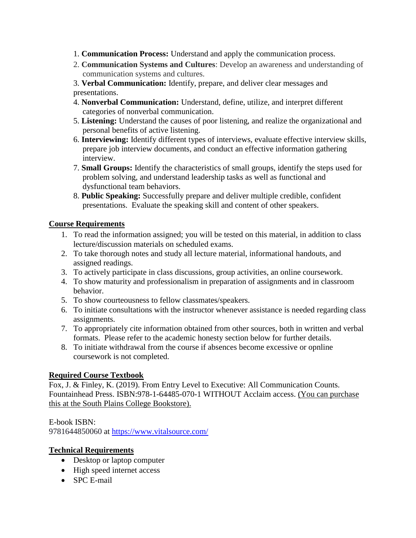- 1. **Communication Process:** Understand and apply the communication process.
- 2. **Communication Systems and Cultures**: Develop an awareness and understanding of communication systems and cultures.
- 3. **Verbal Communication:** Identify, prepare, and deliver clear messages and presentations.
- 4. **Nonverbal Communication:** Understand, define, utilize, and interpret different categories of nonverbal communication.
- 5. **Listening:** Understand the causes of poor listening, and realize the organizational and personal benefits of active listening.
- 6. **Interviewing:** Identify different types of interviews, evaluate effective interview skills, prepare job interview documents, and conduct an effective information gathering interview.
- 7. **Small Groups:** Identify the characteristics of small groups, identify the steps used for problem solving, and understand leadership tasks as well as functional and dysfunctional team behaviors.
- 8. **Public Speaking:** Successfully prepare and deliver multiple credible, confident presentations. Evaluate the speaking skill and content of other speakers.

## **Course Requirements**

- 1. To read the information assigned; you will be tested on this material, in addition to class lecture/discussion materials on scheduled exams.
- 2. To take thorough notes and study all lecture material, informational handouts, and assigned readings.
- 3. To actively participate in class discussions, group activities, an online coursework.
- 4. To show maturity and professionalism in preparation of assignments and in classroom behavior.
- 5. To show courteousness to fellow classmates/speakers.
- 6. To initiate consultations with the instructor whenever assistance is needed regarding class assignments.
- 7. To appropriately cite information obtained from other sources, both in written and verbal formats. Please refer to the academic honesty section below for further details.
- 8. To initiate withdrawal from the course if absences become excessive or opnline coursework is not completed.

## **Required Course Textbook**

Fox, J. & Finley, K. (2019). From Entry Level to Executive: All Communication Counts. Fountainhead Press. ISBN:978-1-64485-070-1 WITHOUT Acclaim access. (You can purchase this at the South Plains College Bookstore).

E-book ISBN:

9781644850060 at <https://www.vitalsource.com/>

## **Technical Requirements**

- Desktop or laptop computer
- High speed internet access
- SPC E-mail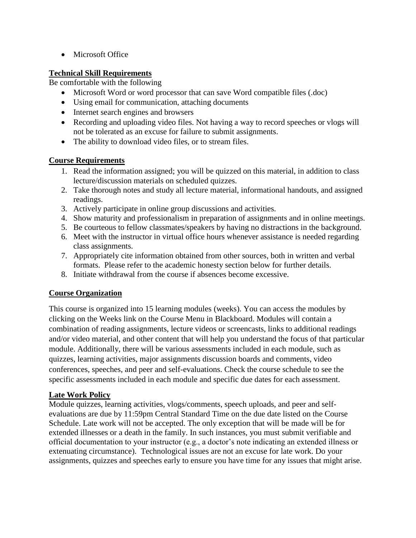• Microsoft Office

## **Technical Skill Requirements**

Be comfortable with the following

- Microsoft Word or word processor that can save Word compatible files (.doc)
- Using email for communication, attaching documents
- Internet search engines and browsers
- Recording and uploading video files. Not having a way to record speeches or vlogs will not be tolerated as an excuse for failure to submit assignments.
- The ability to download video files, or to stream files.

## **Course Requirements**

- 1. Read the information assigned; you will be quizzed on this material, in addition to class lecture/discussion materials on scheduled quizzes.
- 2. Take thorough notes and study all lecture material, informational handouts, and assigned readings.
- 3. Actively participate in online group discussions and activities.
- 4. Show maturity and professionalism in preparation of assignments and in online meetings.
- 5. Be courteous to fellow classmates/speakers by having no distractions in the background.
- 6. Meet with the instructor in virtual office hours whenever assistance is needed regarding class assignments.
- 7. Appropriately cite information obtained from other sources, both in written and verbal formats. Please refer to the academic honesty section below for further details.
- 8. Initiate withdrawal from the course if absences become excessive.

## **Course Organization**

This course is organized into 15 learning modules (weeks). You can access the modules by clicking on the Weeks link on the Course Menu in Blackboard. Modules will contain a combination of reading assignments, lecture videos or screencasts, links to additional readings and/or video material, and other content that will help you understand the focus of that particular module. Additionally, there will be various assessments included in each module, such as quizzes, learning activities, major assignments discussion boards and comments, video conferences, speeches, and peer and self-evaluations. Check the course schedule to see the specific assessments included in each module and specific due dates for each assessment.

## **Late Work Policy**

Module quizzes, learning activities, vlogs/comments, speech uploads, and peer and selfevaluations are due by 11:59pm Central Standard Time on the due date listed on the Course Schedule. Late work will not be accepted. The only exception that will be made will be for extended illnesses or a death in the family. In such instances, you must submit verifiable and official documentation to your instructor (e.g., a doctor's note indicating an extended illness or extenuating circumstance). Technological issues are not an excuse for late work. Do your assignments, quizzes and speeches early to ensure you have time for any issues that might arise.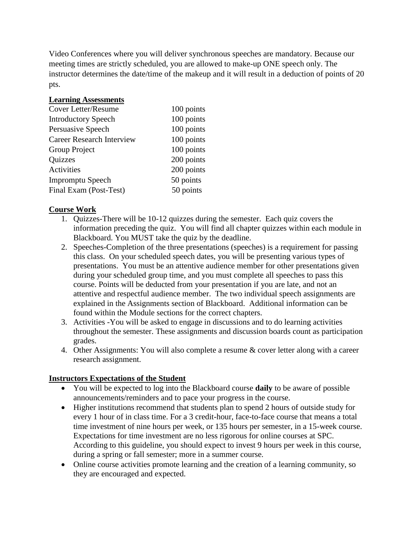Video Conferences where you will deliver synchronous speeches are mandatory. Because our meeting times are strictly scheduled, you are allowed to make-up ONE speech only. The instructor determines the date/time of the makeup and it will result in a deduction of points of 20 pts.

#### **Learning Assessments**

| Cover Letter/Resume              | 100 points |
|----------------------------------|------------|
| <b>Introductory Speech</b>       | 100 points |
| Persuasive Speech                | 100 points |
| <b>Career Research Interview</b> | 100 points |
| Group Project                    | 100 points |
| <b>Quizzes</b>                   | 200 points |
| Activities                       | 200 points |
| <b>Impromptu Speech</b>          | 50 points  |
| Final Exam (Post-Test)           | 50 points  |

#### **Course Work**

- 1. Quizzes-There will be 10-12 quizzes during the semester. Each quiz covers the information preceding the quiz. You will find all chapter quizzes within each module in Blackboard. You MUST take the quiz by the deadline.
- 2. Speeches-Completion of the three presentations (speeches) is a requirement for passing this class. On your scheduled speech dates, you will be presenting various types of presentations. You must be an attentive audience member for other presentations given during your scheduled group time, and you must complete all speeches to pass this course. Points will be deducted from your presentation if you are late, and not an attentive and respectful audience member. The two individual speech assignments are explained in the Assignments section of Blackboard. Additional information can be found within the Module sections for the correct chapters.
- 3. Activities -You will be asked to engage in discussions and to do learning activities throughout the semester. These assignments and discussion boards count as participation grades.
- 4. Other Assignments: You will also complete a resume & cover letter along with a career research assignment.

## **Instructors Expectations of the Student**

- You will be expected to log into the Blackboard course **daily** to be aware of possible announcements/reminders and to pace your progress in the course.
- Higher institutions recommend that students plan to spend 2 hours of outside study for every 1 hour of in class time. For a 3 credit-hour, face-to-face course that means a total time investment of nine hours per week, or 135 hours per semester, in a 15-week course. Expectations for time investment are no less rigorous for online courses at SPC. According to this guideline, you should expect to invest 9 hours per week in this course, during a spring or fall semester; more in a summer course.
- Online course activities promote learning and the creation of a learning community, so they are encouraged and expected.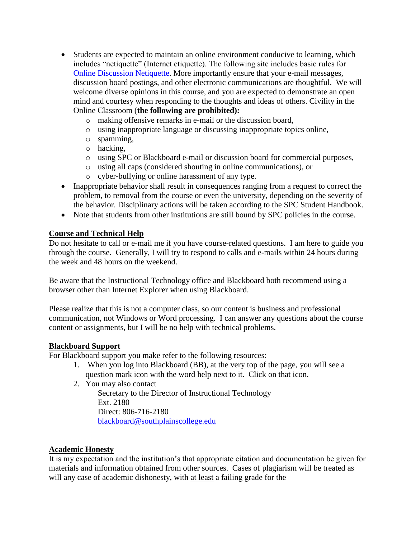- Students are expected to maintain an online environment conducive to learning, which includes "netiquette" (Internet etiquette). The following site includes basic rules for [Online Discussion Netiquette.](https://www.depts.ttu.edu/elearning/blackboard/student/netiquette.php) More importantly ensure that your e-mail messages, discussion board postings, and other electronic communications are thoughtful. We will welcome diverse opinions in this course, and you are expected to demonstrate an open mind and courtesy when responding to the thoughts and ideas of others. Civility in the Online Classroom (**the following are prohibited):** 
	- o making offensive remarks in e-mail or the discussion board,
	- o using inappropriate language or discussing inappropriate topics online,
	- o spamming,
	- o hacking,
	- o using SPC or Blackboard e-mail or discussion board for commercial purposes,
	- o using all caps (considered shouting in online communications), or
	- o cyber-bullying or online harassment of any type.
- Inappropriate behavior shall result in consequences ranging from a request to correct the problem, to removal from the course or even the university, depending on the severity of the behavior. Disciplinary actions will be taken according to the SPC Student Handbook.
- Note that students from other institutions are still bound by SPC policies in the course.

#### **Course and Technical Help**

Do not hesitate to call or e-mail me if you have course-related questions. I am here to guide you through the course. Generally, I will try to respond to calls and e-mails within 24 hours during the week and 48 hours on the weekend.

Be aware that the Instructional Technology office and Blackboard both recommend using a browser other than Internet Explorer when using Blackboard.

Please realize that this is not a computer class, so our content is business and professional communication, not Windows or Word processing. I can answer any questions about the course content or assignments, but I will be no help with technical problems.

#### **Blackboard Support**

For Blackboard support you make refer to the following resources:

- 1. When you log into Blackboard (BB), at the very top of the page, you will see a question mark icon with the word help next to it. Click on that icon.
- 2. You may also contact

Secretary to the Director of Instructional Technology Ext. 2180 Direct: 806-716-2180 [blackboard@southplainscollege.edu](mailto:jetucker@southplainscollege.edu)

#### **Academic Honesty**

It is my expectation and the institution's that appropriate citation and documentation be given for materials and information obtained from other sources. Cases of plagiarism will be treated as will any case of academic dishonesty, with at least a failing grade for the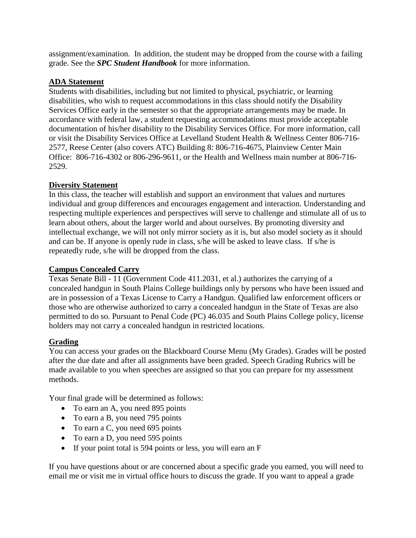assignment/examination. In addition, the student may be dropped from the course with a failing grade. See the *SPC Student Handbook* for more information.

## **ADA Statement**

Students with disabilities, including but not limited to physical, psychiatric, or learning disabilities, who wish to request accommodations in this class should notify the Disability Services Office early in the semester so that the appropriate arrangements may be made. In accordance with federal law, a student requesting accommodations must provide acceptable documentation of his/her disability to the Disability Services Office. For more information, call or visit the Disability Services Office at Levelland Student Health & Wellness Center 806-716- 2577, Reese Center (also covers ATC) Building 8: 806-716-4675, Plainview Center Main Office: 806-716-4302 or 806-296-9611, or the Health and Wellness main number at 806-716- 2529.

## **Diversity Statement**

In this class, the teacher will establish and support an environment that values and nurtures individual and group differences and encourages engagement and interaction. Understanding and respecting multiple experiences and perspectives will serve to challenge and stimulate all of us to learn about others, about the larger world and about ourselves. By promoting diversity and intellectual exchange, we will not only mirror society as it is, but also model society as it should and can be. If anyone is openly rude in class, s/he will be asked to leave class. If s/he is repeatedly rude, s/he will be dropped from the class.

#### **Campus Concealed Carry**

Texas Senate Bill - 11 (Government Code 411.2031, et al.) authorizes the carrying of a concealed handgun in South Plains College buildings only by persons who have been issued and are in possession of a Texas License to Carry a Handgun. Qualified law enforcement officers or those who are otherwise authorized to carry a concealed handgun in the State of Texas are also permitted to do so. Pursuant to Penal Code (PC) 46.035 and South Plains College policy, license holders may not carry a concealed handgun in restricted locations.

## **Grading**

You can access your grades on the Blackboard Course Menu (My Grades). Grades will be posted after the due date and after all assignments have been graded. Speech Grading Rubrics will be made available to you when speeches are assigned so that you can prepare for my assessment methods.

Your final grade will be determined as follows:

- To earn an A, you need 895 points
- To earn a B, you need 795 points
- To earn a C, you need 695 points
- To earn a D, you need 595 points
- If your point total is 594 points or less, you will earn an F

If you have questions about or are concerned about a specific grade you earned, you will need to email me or visit me in virtual office hours to discuss the grade. If you want to appeal a grade